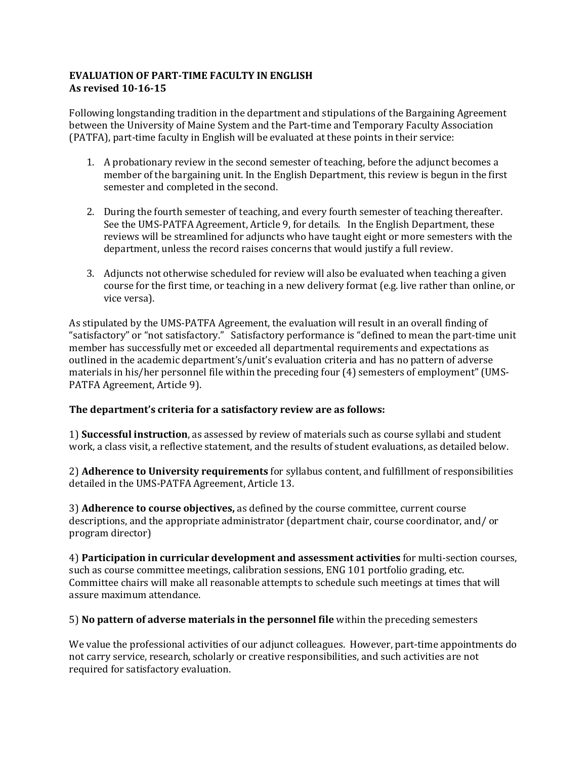# **EVALUATION OF PART-TIME FACULTY IN ENGLISH As revised 10-16-15**

Following longstanding tradition in the department and stipulations of the Bargaining Agreement between the University of Maine System and the Part-time and Temporary Faculty Association (PATFA), part-time faculty in English will be evaluated at these points in their service:

- 1. A probationary review in the second semester of teaching, before the adjunct becomes a member of the bargaining unit. In the English Department, this review is begun in the first semester and completed in the second.
- 2. During the fourth semester of teaching, and every fourth semester of teaching thereafter. See the UMS-PATFA Agreement, Article 9, for details. In the English Department, these reviews will be streamlined for adjuncts who have taught eight or more semesters with the department, unless the record raises concerns that would justify a full review.
- 3. Adjuncts not otherwise scheduled for review will also be evaluated when teaching a given course for the first time, or teaching in a new delivery format (e.g. live rather than online, or vice versa).

As stipulated by the UMS-PATFA Agreement, the evaluation will result in an overall finding of "satisfactory" or "not satisfactory." Satisfactory performance is "defined to mean the part-time unit member has successfully met or exceeded all departmental requirements and expectations as outlined in the academic department's/unit's evaluation criteria and has no pattern of adverse materials in his/her personnel file within the preceding four (4) semesters of employment" (UMS-PATFA Agreement, Article 9).

# The department's criteria for a satisfactory review are as follows:

1) **Successful instruction**, as assessed by review of materials such as course syllabi and student work, a class visit, a reflective statement, and the results of student evaluations, as detailed below.

2) **Adherence to University requirements** for syllabus content, and fulfillment of responsibilities detailed in the UMS-PATFA Agreement, Article 13.

3) **Adherence to course objectives**, as defined by the course committee, current course descriptions, and the appropriate administrator (department chair, course coordinator, and/ or program director)

4) **Participation in curricular development and assessment activities** for multi-section courses, such as course committee meetings, calibration sessions, ENG 101 portfolio grading, etc. Committee chairs will make all reasonable attempts to schedule such meetings at times that will assure maximum attendance.

5) **No pattern of adverse materials in the personnel file** within the preceding semesters

We value the professional activities of our adjunct colleagues. However, part-time appointments do not carry service, research, scholarly or creative responsibilities, and such activities are not required for satisfactory evaluation.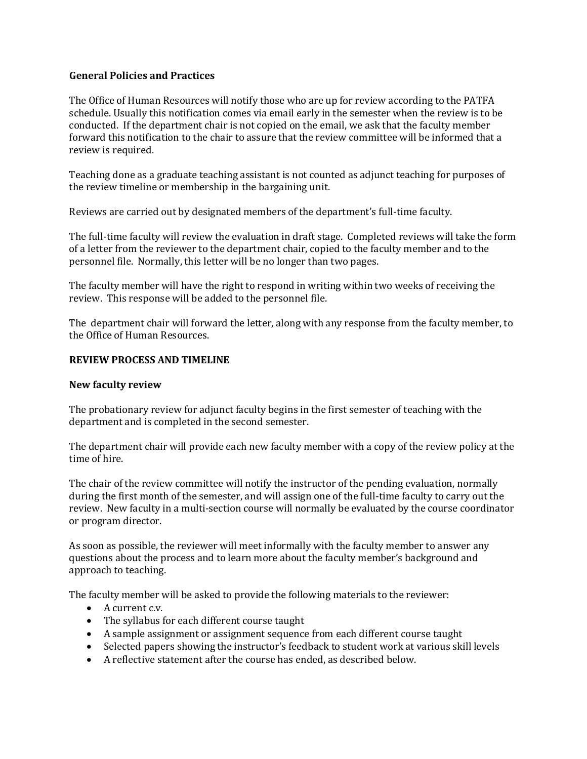### **General Policies and Practices**

The Office of Human Resources will notify those who are up for review according to the PATFA schedule. Usually this notification comes via email early in the semester when the review is to be conducted. If the department chair is not copied on the email, we ask that the faculty member forward this notification to the chair to assure that the review committee will be informed that a review is required.

Teaching done as a graduate teaching assistant is not counted as adjunct teaching for purposes of the review timeline or membership in the bargaining unit.

Reviews are carried out by designated members of the department's full-time faculty.

The full-time faculty will review the evaluation in draft stage. Completed reviews will take the form of a letter from the reviewer to the department chair, copied to the faculty member and to the personnel file. Normally, this letter will be no longer than two pages.

The faculty member will have the right to respond in writing within two weeks of receiving the review. This response will be added to the personnel file.

The department chair will forward the letter, along with any response from the faculty member, to the Office of Human Resources.

## **REVIEW PROCESS AND TIMELINE**

### **New faculty review**

The probationary review for adjunct faculty begins in the first semester of teaching with the department and is completed in the second semester.

The department chair will provide each new faculty member with a copy of the review policy at the time of hire.

The chair of the review committee will notify the instructor of the pending evaluation, normally during the first month of the semester, and will assign one of the full-time faculty to carry out the review. New faculty in a multi-section course will normally be evaluated by the course coordinator or program director.

As soon as possible, the reviewer will meet informally with the faculty member to answer any questions about the process and to learn more about the faculty member's background and approach to teaching.

The faculty member will be asked to provide the following materials to the reviewer:

- $\bullet$  A current c.v.
- The syllabus for each different course taught
- A sample assignment or assignment sequence from each different course taught
- Selected papers showing the instructor's feedback to student work at various skill levels
- A reflective statement after the course has ended, as described below.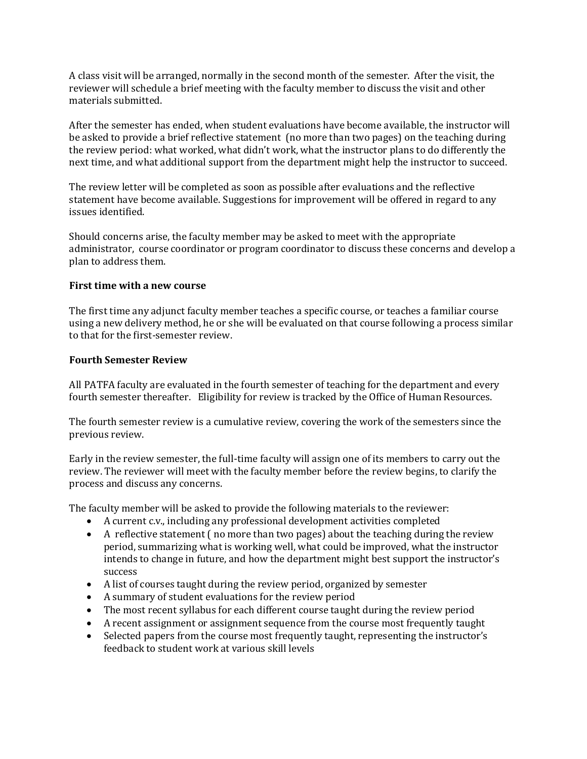A class visit will be arranged, normally in the second month of the semester. After the visit, the reviewer will schedule a brief meeting with the faculty member to discuss the visit and other materials submitted.

After the semester has ended, when student evaluations have become available, the instructor will be asked to provide a brief reflective statement (no more than two pages) on the teaching during the review period: what worked, what didn't work, what the instructor plans to do differently the next time, and what additional support from the department might help the instructor to succeed.

The review letter will be completed as soon as possible after evaluations and the reflective statement have become available. Suggestions for improvement will be offered in regard to any issues identified.

Should concerns arise, the faculty member may be asked to meet with the appropriate administrator, course coordinator or program coordinator to discuss these concerns and develop a plan to address them.

#### **First time with a new course**

The first time any adjunct faculty member teaches a specific course, or teaches a familiar course using a new delivery method, he or she will be evaluated on that course following a process similar to that for the first-semester review.

#### **Fourth Semester Review**

All PATFA faculty are evaluated in the fourth semester of teaching for the department and every fourth semester thereafter. Eligibility for review is tracked by the Office of Human Resources.

The fourth semester review is a cumulative review, covering the work of the semesters since the previous review.

Early in the review semester, the full-time faculty will assign one of its members to carry out the review. The reviewer will meet with the faculty member before the review begins, to clarify the process and discuss any concerns.

The faculty member will be asked to provide the following materials to the reviewer:

- A current c.v., including any professional development activities completed
- A reflective statement (no more than two pages) about the teaching during the review period, summarizing what is working well, what could be improved, what the instructor intends to change in future, and how the department might best support the instructor's success
- A list of courses taught during the review period, organized by semester
- A summary of student evaluations for the review period
- The most recent syllabus for each different course taught during the review period
- A recent assignment or assignment sequence from the course most frequently taught
- Selected papers from the course most frequently taught, representing the instructor's feedback to student work at various skill levels